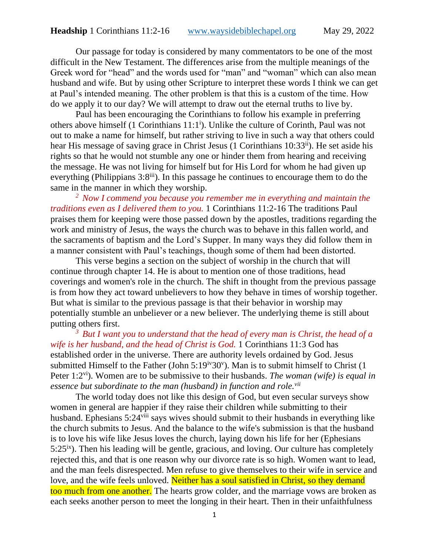Our passage for today is considered by many commentators to be one of the most difficult in the New Testament. The differences arise from the multiple meanings of the Greek word for "head" and the words used for "man" and "woman" which can also mean husband and wife. But by using other Scripture to interpret these words I think we can get at Paul's intended meaning. The other problem is that this is a custom of the time. How do we apply it to our day? We will attempt to draw out the eternal truths to live by.

Paul has been encouraging the Corinthians to follow his example in preferring others above himself (1 Corinthians 11:1<sup>i</sup>). Unlike the culture of Corinth, Paul was not out to make a name for himself, but rather striving to live in such a way that others could hear His message of saving grace in Christ Jesus (1 Corinthians 10:33<sup>ii</sup>). He set aside his rights so that he would not stumble any one or hinder them from hearing and receiving the message. He was not living for himself but for His Lord for whom he had given up everything (Philippians 3:8<sup>iii</sup>). In this passage he continues to encourage them to do the same in the manner in which they worship.

*<sup>2</sup>Now I commend you because you remember me in everything and maintain the traditions even as I delivered them to you.* 1 Corinthians 11:2-16 The traditions Paul praises them for keeping were those passed down by the apostles, traditions regarding the work and ministry of Jesus, the ways the church was to behave in this fallen world, and the sacraments of baptism and the Lord's Supper. In many ways they did follow them in a manner consistent with Paul's teachings, though some of them had been distorted.

This verse begins a section on the subject of worship in the church that will continue through chapter 14. He is about to mention one of those traditions, head coverings and women's role in the church. The shift in thought from the previous passage is from how they act toward unbelievers to how they behave in times of worship together. But what is similar to the previous passage is that their behavior in worship may potentially stumble an unbeliever or a new believer. The underlying theme is still about putting others first.

*<sup>3</sup>But I want you to understand that the head of every man is Christ, the head of a wife is her husband, and the head of Christ is God.* 1 Corinthians 11:3 God has established order in the universe. There are authority levels ordained by God. Jesus submitted Himself to the Father (John  $5:19<sup>iv</sup>30<sup>v</sup>$ ). Man is to submit himself to Christ (1 Peter 1:2vi). Women are to be submissive to their husbands. *The woman (wife) is equal in essence but subordinate to the man (husband) in function and role.vii*

The world today does not like this design of God, but even secular surveys show women in general are happier if they raise their children while submitting to their husband. Ephesians  $5:24$ <sup>viii</sup> says wives should submit to their husbands in everything like the church submits to Jesus. And the balance to the wife's submission is that the husband is to love his wife like Jesus loves the church, laying down his life for her (Ephesians  $5:25<sup>ix</sup>$ ). Then his leading will be gentle, gracious, and loving. Our culture has completely rejected this, and that is one reason why our divorce rate is so high. Women want to lead, and the man feels disrespected. Men refuse to give themselves to their wife in service and love, and the wife feels unloved. Neither has a soul satisfied in Christ, so they demand too much from one another. The hearts grow colder, and the marriage vows are broken as each seeks another person to meet the longing in their heart. Then in their unfaithfulness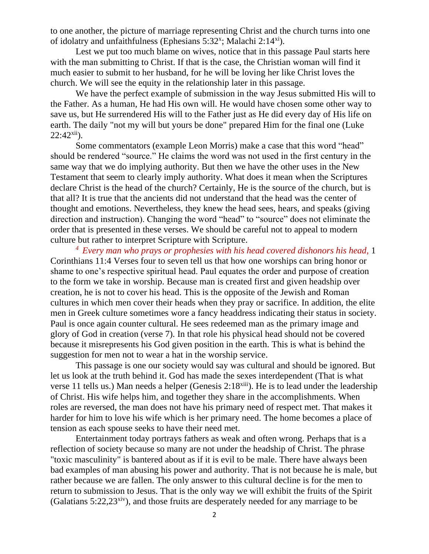to one another, the picture of marriage representing Christ and the church turns into one of idolatry and unfaithfulness (Ephesians 5:32<sup>x</sup>; Malachi 2:14<sup>xi</sup>).

Lest we put too much blame on wives, notice that in this passage Paul starts here with the man submitting to Christ. If that is the case, the Christian woman will find it much easier to submit to her husband, for he will be loving her like Christ loves the church. We will see the equity in the relationship later in this passage.

We have the perfect example of submission in the way Jesus submitted His will to the Father. As a human, He had His own will. He would have chosen some other way to save us, but He surrendered His will to the Father just as He did every day of His life on earth. The daily "not my will but yours be done" prepared Him for the final one (Luke  $22:42^{xii}$ ).

Some commentators (example Leon Morris) make a case that this word "head" should be rendered "source." He claims the word was not used in the first century in the same way that we do implying authority. But then we have the other uses in the New Testament that seem to clearly imply authority. What does it mean when the Scriptures declare Christ is the head of the church? Certainly, He is the source of the church, but is that all? It is true that the ancients did not understand that the head was the center of thought and emotions. Nevertheless, they knew the head sees, hears, and speaks (giving direction and instruction). Changing the word "head" to "source" does not eliminate the order that is presented in these verses. We should be careful not to appeal to modern culture but rather to interpret Scripture with Scripture.

*<sup>4</sup>Every man who prays or prophesies with his head covered dishonors his head,* 1 Corinthians 11:4 Verses four to seven tell us that how one worships can bring honor or shame to one's respective spiritual head. Paul equates the order and purpose of creation to the form we take in worship. Because man is created first and given headship over creation, he is not to cover his head. This is the opposite of the Jewish and Roman cultures in which men cover their heads when they pray or sacrifice. In addition, the elite men in Greek culture sometimes wore a fancy headdress indicating their status in society. Paul is once again counter cultural. He sees redeemed man as the primary image and glory of God in creation (verse 7). In that role his physical head should not be covered because it misrepresents his God given position in the earth. This is what is behind the suggestion for men not to wear a hat in the worship service.

This passage is one our society would say was cultural and should be ignored. But let us look at the truth behind it. God has made the sexes interdependent (That is what verse 11 tells us.) Man needs a helper (Genesis 2:18<sup>xiii</sup>). He is to lead under the leadership of Christ. His wife helps him, and together they share in the accomplishments. When roles are reversed, the man does not have his primary need of respect met. That makes it harder for him to love his wife which is her primary need. The home becomes a place of tension as each spouse seeks to have their need met.

Entertainment today portrays fathers as weak and often wrong. Perhaps that is a reflection of society because so many are not under the headship of Christ. The phrase "toxic masculinity" is bantered about as if it is evil to be male. There have always been bad examples of man abusing his power and authority. That is not because he is male, but rather because we are fallen. The only answer to this cultural decline is for the men to return to submission to Jesus. That is the only way we will exhibit the fruits of the Spirit (Galatians  $5:22,23<sup>xiv</sup>$ ), and those fruits are desperately needed for any marriage to be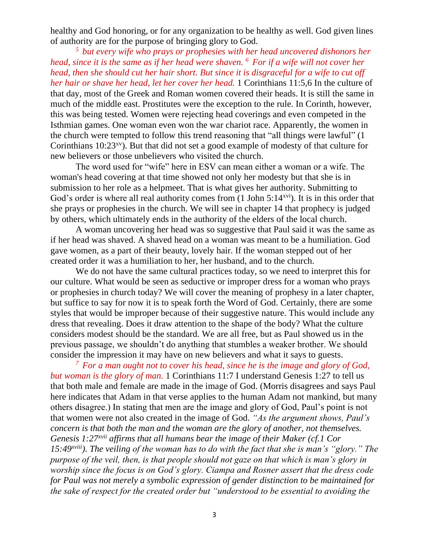healthy and God honoring, or for any organization to be healthy as well. God given lines of authority are for the purpose of bringing glory to God.

*<sup>5</sup>but every wife who prays or prophesies with her head uncovered dishonors her head, since it is the same as if her head were shaven. <sup>6</sup>For if a wife will not cover her head, then she should cut her hair short. But since it is disgraceful for a wife to cut off her hair or shave her head, let her cover her head.* 1 Corinthians 11:5,6 In the culture of that day, most of the Greek and Roman women covered their heads. It is still the same in much of the middle east. Prostitutes were the exception to the rule. In Corinth, however, this was being tested. Women were rejecting head coverings and even competed in the Isthmian games. One woman even won the war chariot race. Apparently, the women in the church were tempted to follow this trend reasoning that "all things were lawful" (1 Corinthians  $10:23<sup>xy</sup>$ . But that did not set a good example of modesty of that culture for new believers or those unbelievers who visited the church.

The word used for "wife" here in ESV can mean either a woman or a wife. The woman's head covering at that time showed not only her modesty but that she is in submission to her role as a helpmeet. That is what gives her authority. Submitting to God's order is where all real authority comes from  $(1$  John  $5:14<sup>xvi</sup>)$ . It is in this order that she prays or prophesies in the church. We will see in chapter 14 that prophecy is judged by others, which ultimately ends in the authority of the elders of the local church.

A woman uncovering her head was so suggestive that Paul said it was the same as if her head was shaved. A shaved head on a woman was meant to be a humiliation. God gave women, as a part of their beauty, lovely hair. If the woman stepped out of her created order it was a humiliation to her, her husband, and to the church.

We do not have the same cultural practices today, so we need to interpret this for our culture. What would be seen as seductive or improper dress for a woman who prays or prophesies in church today? We will cover the meaning of prophesy in a later chapter, but suffice to say for now it is to speak forth the Word of God. Certainly, there are some styles that would be improper because of their suggestive nature. This would include any dress that revealing. Does it draw attention to the shape of the body? What the culture considers modest should be the standard. We are all free, but as Paul showed us in the previous passage, we shouldn't do anything that stumbles a weaker brother. We should consider the impression it may have on new believers and what it says to guests.

*<sup>7</sup>For a man ought not to cover his head, since he is the image and glory of God, but woman is the glory of man.* 1 Corinthians 11:7 I understand Genesis 1:27 to tell us that both male and female are made in the image of God. (Morris disagrees and says Paul here indicates that Adam in that verse applies to the human Adam not mankind, but many others disagree.) In stating that men are the image and glory of God, Paul's point is not that women were not also created in the image of God. *"As the argument shows, Paul's concern is that both the man and the woman are the glory of another, not themselves. Genesis 1:27xvii affirms that all humans bear the image of their Maker (cf.1 Cor 15:49xviii). The veiling of the woman has to do with the fact that she is man's "glory." The purpose of the veil, then, is that people should not gaze on that which is man's glory in worship since the focus is on God's glory. Ciampa and Rosner assert that the dress code for Paul was not merely a symbolic expression of gender distinction to be maintained for the sake of respect for the created order but "understood to be essential to avoiding the*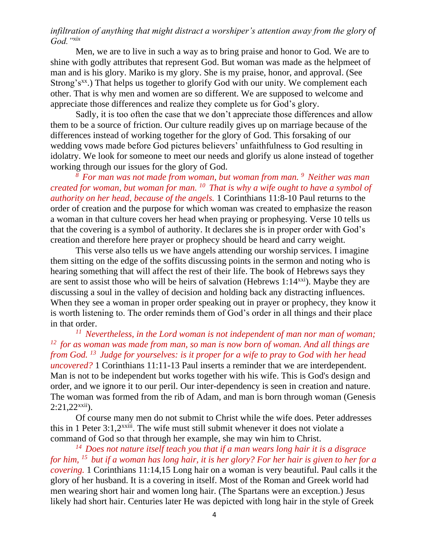# *infiltration of anything that might distract a worshiper's attention away from the glory of God."xix*

Men, we are to live in such a way as to bring praise and honor to God. We are to shine with godly attributes that represent God. But woman was made as the helpmeet of man and is his glory. Mariko is my glory. She is my praise, honor, and approval. (See Strong's<sup>xx</sup>.) That helps us together to glorify God with our unity. We complement each other. That is why men and women are so different. We are supposed to welcome and appreciate those differences and realize they complete us for God's glory.

Sadly, it is too often the case that we don't appreciate those differences and allow them to be a source of friction. Our culture readily gives up on marriage because of the differences instead of working together for the glory of God. This forsaking of our wedding vows made before God pictures believers' unfaithfulness to God resulting in idolatry. We look for someone to meet our needs and glorify us alone instead of together working through our issues for the glory of God.

*<sup>8</sup>For man was not made from woman, but woman from man. <sup>9</sup>Neither was man created for woman, but woman for man. <sup>10</sup>That is why a wife ought to have a symbol of authority on her head, because of the angels.* 1 Corinthians 11:8-10 Paul returns to the order of creation and the purpose for which woman was created to emphasize the reason a woman in that culture covers her head when praying or prophesying. Verse 10 tells us that the covering is a symbol of authority. It declares she is in proper order with God's creation and therefore here prayer or prophecy should be heard and carry weight.

This verse also tells us we have angels attending our worship services. I imagine them sitting on the edge of the soffits discussing points in the sermon and noting who is hearing something that will affect the rest of their life. The book of Hebrews says they are sent to assist those who will be heirs of salvation (Hebrews  $1:14^{x}$ ). Maybe they are discussing a soul in the valley of decision and holding back any distracting influences. When they see a woman in proper order speaking out in prayer or prophecy, they know it is worth listening to. The order reminds them of God's order in all things and their place in that order.

*<sup>11</sup>Nevertheless, in the Lord woman is not independent of man nor man of woman; <sup>12</sup>for as woman was made from man, so man is now born of woman. And all things are from God. <sup>13</sup>Judge for yourselves: is it proper for a wife to pray to God with her head uncovered?* 1 Corinthians 11:11-13 Paul inserts a reminder that we are interdependent. Man is not to be independent but works together with his wife. This is God's design and order, and we ignore it to our peril. Our inter-dependency is seen in creation and nature. The woman was formed from the rib of Adam, and man is born through woman (Genesis  $2:21,22^{x}$ ii).

Of course many men do not submit to Christ while the wife does. Peter addresses this in 1 Peter  $3:1,2^{x}$ <sup>xxiii</sup>. The wife must still submit whenever it does not violate a command of God so that through her example, she may win him to Christ.

*<sup>14</sup>Does not nature itself teach you that if a man wears long hair it is a disgrace for him, <sup>15</sup>but if a woman has long hair, it is her glory? For her hair is given to her for a covering.* 1 Corinthians 11:14,15 Long hair on a woman is very beautiful. Paul calls it the glory of her husband. It is a covering in itself. Most of the Roman and Greek world had men wearing short hair and women long hair. (The Spartans were an exception.) Jesus likely had short hair. Centuries later He was depicted with long hair in the style of Greek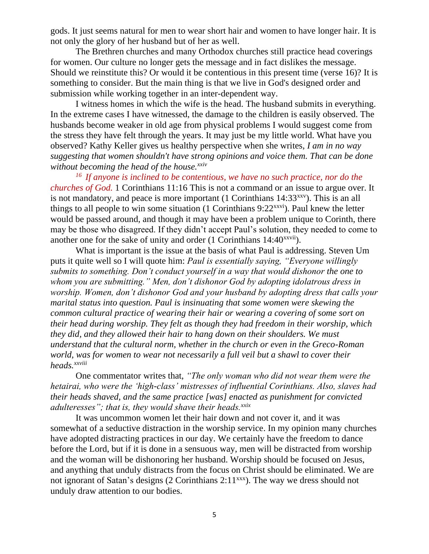gods. It just seems natural for men to wear short hair and women to have longer hair. It is not only the glory of her husband but of her as well.

The Brethren churches and many Orthodox churches still practice head coverings for women. Our culture no longer gets the message and in fact dislikes the message. Should we reinstitute this? Or would it be contentious in this present time (verse 16)? It is something to consider. But the main thing is that we live in God's designed order and submission while working together in an inter-dependent way.

I witness homes in which the wife is the head. The husband submits in everything. In the extreme cases I have witnessed, the damage to the children is easily observed. The husbands become weaker in old age from physical problems I would suggest come from the stress they have felt through the years. It may just be my little world. What have you observed? Kathy Keller gives us healthy perspective when she writes, *I am in no way suggesting that women shouldn't have strong opinions and voice them. That can be done without becoming the head of the house.xxiv*

*<sup>16</sup>If anyone is inclined to be contentious, we have no such practice, nor do the churches of God.* 1 Corinthians 11:16 This is not a command or an issue to argue over. It is not mandatory, and peace is more important  $(1$  Corinthians  $14:33^{xxy}$ . This is an all things to all people to win some situation  $(1 \text{ Corinthians } 9:22^{xxyi})$ . Paul knew the letter would be passed around, and though it may have been a problem unique to Corinth, there may be those who disagreed. If they didn't accept Paul's solution, they needed to come to another one for the sake of unity and order (1 Corinthians 14:40xxvii).

What is important is the issue at the basis of what Paul is addressing. Steven Um puts it quite well so I will quote him: *Paul is essentially saying, "Everyone willingly submits to something. Don't conduct yourself in a way that would dishonor the one to whom you are submitting." Men, don't dishonor God by adopting idolatrous dress in worship. Women, don't dishonor God and your husband by adopting dress that calls your marital status into question. Paul is insinuating that some women were skewing the common cultural practice of wearing their hair or wearing a covering of some sort on their head during worship. They felt as though they had freedom in their worship, which they did, and they allowed their hair to hang down on their shoulders. We must understand that the cultural norm, whether in the church or even in the Greco-Roman world, was for women to wear not necessarily a full veil but a shawl to cover their heads.xxviii*

One commentator writes that, *"The only woman who did not wear them were the hetairai, who were the 'high-class' mistresses of influential Corinthians. Also, slaves had their heads shaved, and the same practice [was] enacted as punishment for convicted adulteresses"; that is, they would shave their heads.xxix*

It was uncommon women let their hair down and not cover it, and it was somewhat of a seductive distraction in the worship service. In my opinion many churches have adopted distracting practices in our day. We certainly have the freedom to dance before the Lord, but if it is done in a sensuous way, men will be distracted from worship and the woman will be dishonoring her husband. Worship should be focused on Jesus, and anything that unduly distracts from the focus on Christ should be eliminated. We are not ignorant of Satan's designs (2 Corinthians 2:11<sup>xxx</sup>). The way we dress should not unduly draw attention to our bodies.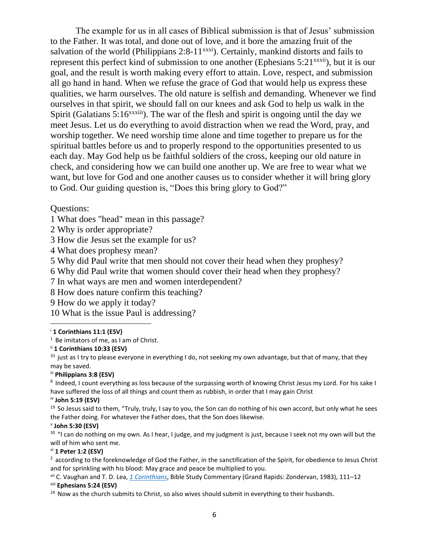The example for us in all cases of Biblical submission is that of Jesus' submission to the Father. It was total, and done out of love, and it bore the amazing fruit of the salvation of the world (Philippians  $2:8-11^{xxxx}$ ). Certainly, mankind distorts and fails to represent this perfect kind of submission to one another (Ephesians  $5:21^{xxxii}$ ), but it is our goal, and the result is worth making every effort to attain. Love, respect, and submission all go hand in hand. When we refuse the grace of God that would help us express these qualities, we harm ourselves. The old nature is selfish and demanding. Whenever we find ourselves in that spirit, we should fall on our knees and ask God to help us walk in the Spirit (Galatians  $5:16^{xxxiii}$ ). The war of the flesh and spirit is ongoing until the day we meet Jesus. Let us do everything to avoid distraction when we read the Word, pray, and worship together. We need worship time alone and time together to prepare us for the spiritual battles before us and to properly respond to the opportunities presented to us each day. May God help us be faithful soldiers of the cross, keeping our old nature in check, and considering how we can build one another up. We are free to wear what we want, but love for God and one another causes us to consider whether it will bring glory to God. Our guiding question is, "Does this bring glory to God?"

Questions:

1 What does "head" mean in this passage?

2 Why is order appropriate?

3 How die Jesus set the example for us?

4 What does prophesy mean?

5 Why did Paul write that men should not cover their head when they prophesy?

6 Why did Paul write that women should cover their head when they prophesy?

7 In what ways are men and women interdependent?

8 How does nature confirm this teaching?

9 How do we apply it today?

10 What is the issue Paul is addressing?

### <sup>i</sup> **1 Corinthians 11:1 (ESV)**

 $1$  Be imitators of me, as I am of Christ.

### ii **1 Corinthians 10:33 (ESV)**

<sup>33</sup> just as I try to please everyone in everything I do, not seeking my own advantage, but that of many, that they may be saved.

iii **Philippians 3:8 (ESV)** 

<sup>8</sup> Indeed, I count everything as loss because of the surpassing worth of knowing Christ Jesus my Lord. For his sake I have suffered the loss of all things and count them as rubbish, in order that I may gain Christ

### iv **John 5:19 (ESV)**

 $19$  So Jesus said to them, "Truly, truly, I say to you, the Son can do nothing of his own accord, but only what he sees the Father doing. For whatever the Father does, that the Son does likewise.

### v **John 5:30 (ESV)**

<sup>30</sup> "I can do nothing on my own. As I hear, I judge, and my judgment is just, because I seek not my own will but the will of him who sent me.

### vi **1 Peter 1:2 (ESV)**

 $2$  according to the foreknowledge of God the Father, in the sanctification of the Spirit, for obedience to Jesus Christ and for sprinkling with his blood: May grace and peace be multiplied to you.

vii C. Vaughan and T. D. Lea, *[1 Corinthians](https://ref.ly/logosref/biblio.au$3DC.$2520Vaughan$3BT.$2520D.$2520Lea$7Cbt$3D1$2520Corinthians$7Clbid$3D0001469301$7Cpl$3DGrand$2520Rapids$7Cpr$3DZondervan$7Csr$3DBible$2520Study$2520Commentary$7Cyr$3D1983)*, Bible Study Commentary (Grand Rapids: Zondervan, 1983), 111–12

## viii **Ephesians 5:24 (ESV)**

<sup>24</sup> Now as the church submits to Christ, so also wives should submit in everything to their husbands.